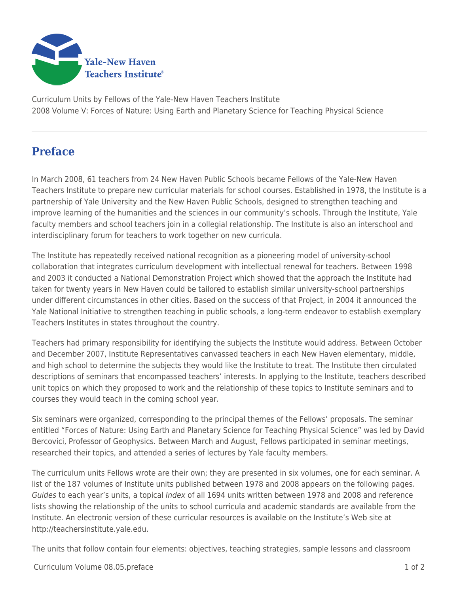

Curriculum Units by Fellows of the Yale-New Haven Teachers Institute 2008 Volume V: Forces of Nature: Using Earth and Planetary Science for Teaching Physical Science

## **Preface**

In March 2008, 61 teachers from 24 New Haven Public Schools became Fellows of the Yale-New Haven Teachers Institute to prepare new curricular materials for school courses. Established in 1978, the Institute is a partnership of Yale University and the New Haven Public Schools, designed to strengthen teaching and improve learning of the humanities and the sciences in our community's schools. Through the Institute, Yale faculty members and school teachers join in a collegial relationship. The Institute is also an interschool and interdisciplinary forum for teachers to work together on new curricula.

The Institute has repeatedly received national recognition as a pioneering model of university-school collaboration that integrates curriculum development with intellectual renewal for teachers. Between 1998 and 2003 it conducted a National Demonstration Project which showed that the approach the Institute had taken for twenty years in New Haven could be tailored to establish similar university-school partnerships under different circumstances in other cities. Based on the success of that Project, in 2004 it announced the Yale National Initiative to strengthen teaching in public schools, a long-term endeavor to establish exemplary Teachers Institutes in states throughout the country.

Teachers had primary responsibility for identifying the subjects the Institute would address. Between October and December 2007, Institute Representatives canvassed teachers in each New Haven elementary, middle, and high school to determine the subjects they would like the Institute to treat. The Institute then circulated descriptions of seminars that encompassed teachers' interests. In applying to the Institute, teachers described unit topics on which they proposed to work and the relationship of these topics to Institute seminars and to courses they would teach in the coming school year.

Six seminars were organized, corresponding to the principal themes of the Fellows' proposals. The seminar entitled "Forces of Nature: Using Earth and Planetary Science for Teaching Physical Science" was led by David Bercovici, Professor of Geophysics. Between March and August, Fellows participated in seminar meetings, researched their topics, and attended a series of lectures by Yale faculty members.

The curriculum units Fellows wrote are their own; they are presented in six volumes, one for each seminar. A list of the 187 volumes of Institute units published between 1978 and 2008 appears on the following pages. Guides to each year's units, a topical Index of all 1694 units written between 1978 and 2008 and reference lists showing the relationship of the units to school curricula and academic standards are available from the Institute. An electronic version of these curricular resources is available on the Institute's Web site at http://teachersinstitute.yale.edu.

The units that follow contain four elements: objectives, teaching strategies, sample lessons and classroom

Curriculum Volume 08.05.preface 1 of 2